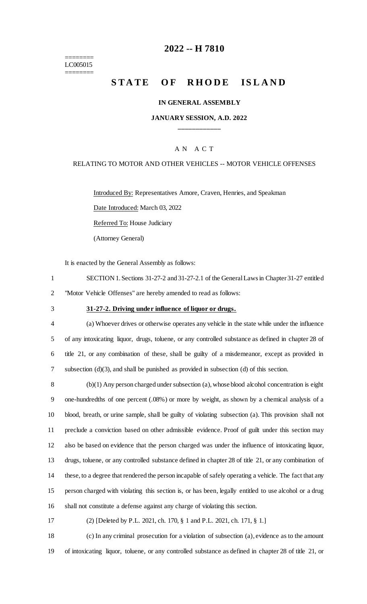======== LC005015 ========

# **2022 -- H 7810**

# **STATE OF RHODE ISLAND**

#### **IN GENERAL ASSEMBLY**

## **JANUARY SESSION, A.D. 2022 \_\_\_\_\_\_\_\_\_\_\_\_**

## A N A C T

### RELATING TO MOTOR AND OTHER VEHICLES -- MOTOR VEHICLE OFFENSES

Introduced By: Representatives Amore, Craven, Henries, and Speakman

Date Introduced: March 03, 2022

Referred To: House Judiciary

(Attorney General)

It is enacted by the General Assembly as follows:

1 SECTION 1. Sections 31-27-2 and 31-27-2.1 of the General Laws in Chapter 31-27 entitled 2 "Motor Vehicle Offenses" are hereby amended to read as follows:

#### 3 **31-27-2. Driving under influence of liquor or drugs.**

 (a) Whoever drives or otherwise operates any vehicle in the state while under the influence of any intoxicating liquor, drugs, toluene, or any controlled substance as defined in chapter 28 of title 21, or any combination of these, shall be guilty of a misdemeanor, except as provided in subsection (d)(3), and shall be punished as provided in subsection (d) of this section.

 (b)(1) Any person charged under subsection (a), whose blood alcohol concentration is eight one-hundredths of one percent (.08%) or more by weight, as shown by a chemical analysis of a blood, breath, or urine sample, shall be guilty of violating subsection (a). This provision shall not preclude a conviction based on other admissible evidence. Proof of guilt under this section may also be based on evidence that the person charged was under the influence of intoxicating liquor, drugs, toluene, or any controlled substance defined in chapter 28 of title 21, or any combination of these, to a degree that rendered the person incapable of safely operating a vehicle. The fact that any person charged with violating this section is, or has been, legally entitled to use alcohol or a drug shall not constitute a defense against any charge of violating this section.

17 (2) [Deleted by P.L. 2021, ch. 170, § 1 and P.L. 2021, ch. 171, § 1.]

18 (c) In any criminal prosecution for a violation of subsection (a), evidence as to the amount 19 of intoxicating liquor, toluene, or any controlled substance as defined in chapter 28 of title 21, or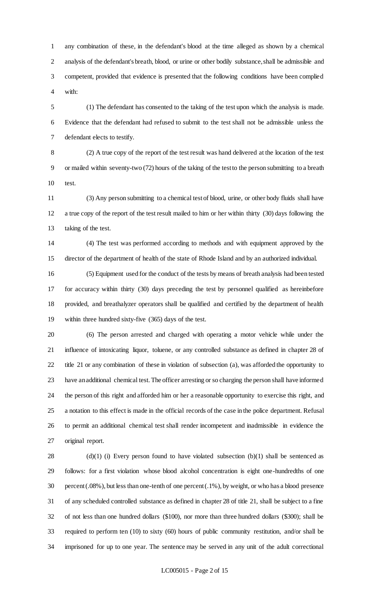any combination of these, in the defendant's blood at the time alleged as shown by a chemical analysis of the defendant's breath, blood, or urine or other bodily substance, shall be admissible and competent, provided that evidence is presented that the following conditions have been complied with:

 (1) The defendant has consented to the taking of the test upon which the analysis is made. Evidence that the defendant had refused to submit to the test shall not be admissible unless the defendant elects to testify.

 (2) A true copy of the report of the test result was hand delivered at the location of the test or mailed within seventy-two (72) hours of the taking of the test to the person submitting to a breath test.

 (3) Any person submitting to a chemical test of blood, urine, or other body fluids shall have a true copy of the report of the test result mailed to him or her within thirty (30) days following the taking of the test.

 (4) The test was performed according to methods and with equipment approved by the director of the department of health of the state of Rhode Island and by an authorized individual.

 (5) Equipment used for the conduct of the tests by means of breath analysis had been tested for accuracy within thirty (30) days preceding the test by personnel qualified as hereinbefore provided, and breathalyzer operators shall be qualified and certified by the department of health within three hundred sixty-five (365) days of the test.

 (6) The person arrested and charged with operating a motor vehicle while under the influence of intoxicating liquor, toluene, or any controlled substance as defined in chapter 28 of title 21 or any combination of these in violation of subsection (a), was afforded the opportunity to have an additional chemical test. The officer arresting or so charging the person shall have informed the person of this right and afforded him or her a reasonable opportunity to exercise this right, and a notation to this effect is made in the official records of the case in the police department. Refusal to permit an additional chemical test shall render incompetent and inadmissible in evidence the original report.

 (d)(1) (i) Every person found to have violated subsection (b)(1) shall be sentenced as follows: for a first violation whose blood alcohol concentration is eight one-hundredths of one percent (.08%), but less than one-tenth of one percent (.1%), by weight, or who has a blood presence of any scheduled controlled substance as defined in chapter 28 of title 21, shall be subject to a fine of not less than one hundred dollars (\$100), nor more than three hundred dollars (\$300); shall be required to perform ten (10) to sixty (60) hours of public community restitution, and/or shall be imprisoned for up to one year. The sentence may be served in any unit of the adult correctional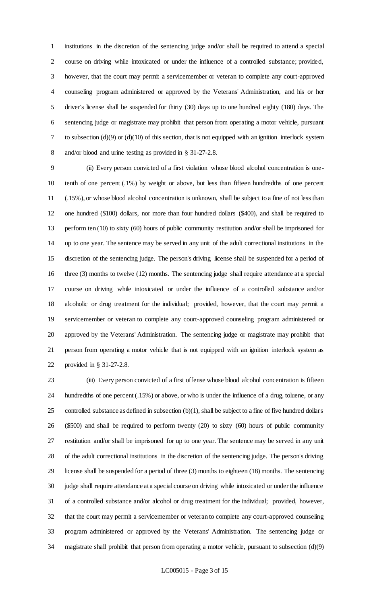institutions in the discretion of the sentencing judge and/or shall be required to attend a special course on driving while intoxicated or under the influence of a controlled substance; provided, however, that the court may permit a servicemember or veteran to complete any court-approved counseling program administered or approved by the Veterans' Administration, and his or her driver's license shall be suspended for thirty (30) days up to one hundred eighty (180) days. The sentencing judge or magistrate may prohibit that person from operating a motor vehicle, pursuant to subsection (d)(9) or (d)(10) of this section, that is not equipped with an ignition interlock system and/or blood and urine testing as provided in § 31-27-2.8.

 (ii) Every person convicted of a first violation whose blood alcohol concentration is one- tenth of one percent (.1%) by weight or above, but less than fifteen hundredths of one percent (.15%), or whose blood alcohol concentration is unknown, shall be subject to a fine of not less than one hundred (\$100) dollars, nor more than four hundred dollars (\$400), and shall be required to perform ten (10) to sixty (60) hours of public community restitution and/or shall be imprisoned for up to one year. The sentence may be served in any unit of the adult correctional institutions in the discretion of the sentencing judge. The person's driving license shall be suspended for a period of 16 three (3) months to twelve (12) months. The sentencing judge shall require attendance at a special course on driving while intoxicated or under the influence of a controlled substance and/or alcoholic or drug treatment for the individual; provided, however, that the court may permit a servicemember or veteran to complete any court-approved counseling program administered or approved by the Veterans' Administration. The sentencing judge or magistrate may prohibit that person from operating a motor vehicle that is not equipped with an ignition interlock system as provided in § 31-27-2.8.

 (iii) Every person convicted of a first offense whose blood alcohol concentration is fifteen hundredths of one percent (.15%) or above, or who is under the influence of a drug, toluene, or any controlled substance as defined in subsection (b)(1), shall be subject to a fine of five hundred dollars (\$500) and shall be required to perform twenty (20) to sixty (60) hours of public community restitution and/or shall be imprisoned for up to one year. The sentence may be served in any unit of the adult correctional institutions in the discretion of the sentencing judge. The person's driving license shall be suspended for a period of three (3) months to eighteen (18) months. The sentencing judge shall require attendance at a special course on driving while intoxicated or under the influence of a controlled substance and/or alcohol or drug treatment for the individual; provided, however, that the court may permit a servicemember or veteran to complete any court-approved counseling program administered or approved by the Veterans' Administration. The sentencing judge or magistrate shall prohibit that person from operating a motor vehicle, pursuant to subsection (d)(9)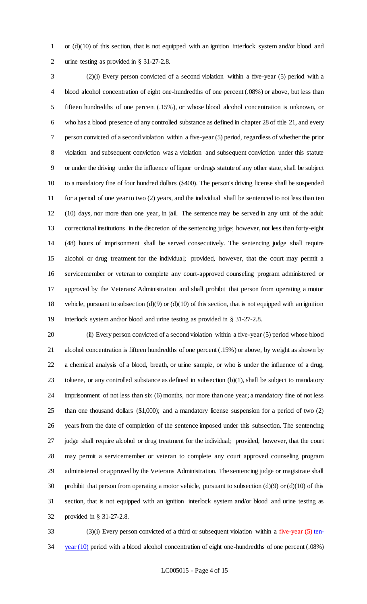or (d)(10) of this section, that is not equipped with an ignition interlock system and/or blood and urine testing as provided in § 31-27-2.8.

 (2)(i) Every person convicted of a second violation within a five-year (5) period with a blood alcohol concentration of eight one-hundredths of one percent (.08%) or above, but less than fifteen hundredths of one percent (.15%), or whose blood alcohol concentration is unknown, or who has a blood presence of any controlled substance as defined in chapter 28 of title 21, and every person convicted of a second violation within a five-year (5) period, regardless of whether the prior violation and subsequent conviction was a violation and subsequent conviction under this statute or under the driving under the influence of liquor or drugs statute of any other state, shall be subject to a mandatory fine of four hundred dollars (\$400). The person's driving license shall be suspended for a period of one year to two (2) years, and the individual shall be sentenced to not less than ten (10) days, nor more than one year, in jail. The sentence may be served in any unit of the adult correctional institutions in the discretion of the sentencing judge; however, not less than forty-eight (48) hours of imprisonment shall be served consecutively. The sentencing judge shall require alcohol or drug treatment for the individual; provided, however, that the court may permit a servicemember or veteran to complete any court-approved counseling program administered or approved by the Veterans' Administration and shall prohibit that person from operating a motor vehicle, pursuant to subsection (d)(9) or (d)(10) of this section, that is not equipped with an ignition interlock system and/or blood and urine testing as provided in § 31-27-2.8.

 (ii) Every person convicted of a second violation within a five-year (5) period whose blood alcohol concentration is fifteen hundredths of one percent (.15%) or above, by weight as shown by a chemical analysis of a blood, breath, or urine sample, or who is under the influence of a drug, toluene, or any controlled substance as defined in subsection (b)(1), shall be subject to mandatory imprisonment of not less than six (6) months, nor more than one year; a mandatory fine of not less than one thousand dollars (\$1,000); and a mandatory license suspension for a period of two (2) years from the date of completion of the sentence imposed under this subsection. The sentencing judge shall require alcohol or drug treatment for the individual; provided, however, that the court may permit a servicemember or veteran to complete any court approved counseling program administered or approved by the Veterans' Administration. The sentencing judge or magistrate shall 30 prohibit that person from operating a motor vehicle, pursuant to subsection  $(d)(9)$  or  $(d)(10)$  of this section, that is not equipped with an ignition interlock system and/or blood and urine testing as provided in § 31-27-2.8.

 (3)(i) Every person convicted of a third or subsequent violation within a five-year  $(5)$  ten-34 year (10) period with a blood alcohol concentration of eight one-hundredths of one percent (.08%)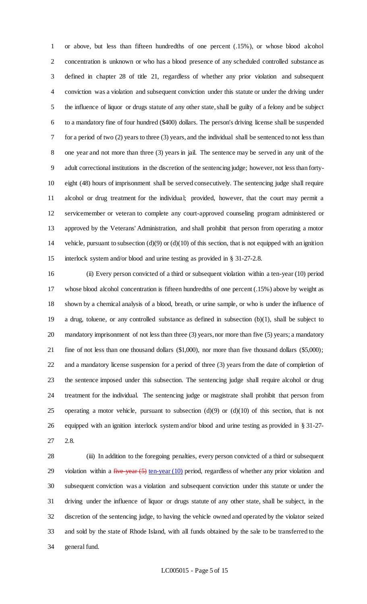or above, but less than fifteen hundredths of one percent (.15%), or whose blood alcohol concentration is unknown or who has a blood presence of any scheduled controlled substance as defined in chapter 28 of title 21, regardless of whether any prior violation and subsequent conviction was a violation and subsequent conviction under this statute or under the driving under the influence of liquor or drugs statute of any other state, shall be guilty of a felony and be subject to a mandatory fine of four hundred (\$400) dollars. The person's driving license shall be suspended for a period of two (2) years to three (3) years, and the individual shall be sentenced to not less than one year and not more than three (3) years in jail. The sentence may be served in any unit of the adult correctional institutions in the discretion of the sentencing judge; however, not less than forty- eight (48) hours of imprisonment shall be served consecutively. The sentencing judge shall require alcohol or drug treatment for the individual; provided, however, that the court may permit a servicemember or veteran to complete any court-approved counseling program administered or approved by the Veterans' Administration, and shall prohibit that person from operating a motor vehicle, pursuant to subsection (d)(9) or (d)(10) of this section, that is not equipped with an ignition interlock system and/or blood and urine testing as provided in § 31-27-2.8.

 (ii) Every person convicted of a third or subsequent violation within a ten-year (10) period whose blood alcohol concentration is fifteen hundredths of one percent (.15%) above by weight as shown by a chemical analysis of a blood, breath, or urine sample, or who is under the influence of a drug, toluene, or any controlled substance as defined in subsection (b)(1), shall be subject to mandatory imprisonment of not less than three (3) years, nor more than five (5) years; a mandatory fine of not less than one thousand dollars (\$1,000), nor more than five thousand dollars (\$5,000); and a mandatory license suspension for a period of three (3) years from the date of completion of the sentence imposed under this subsection. The sentencing judge shall require alcohol or drug treatment for the individual. The sentencing judge or magistrate shall prohibit that person from 25 operating a motor vehicle, pursuant to subsection  $(d)(9)$  or  $(d)(10)$  of this section, that is not equipped with an ignition interlock system and/or blood and urine testing as provided in § 31-27- 2.8.

 (iii) In addition to the foregoing penalties, every person convicted of a third or subsequent 29 violation within a  $f^2$  vear  $(5)$  ten-year  $(10)$  period, regardless of whether any prior violation and subsequent conviction was a violation and subsequent conviction under this statute or under the driving under the influence of liquor or drugs statute of any other state, shall be subject, in the discretion of the sentencing judge, to having the vehicle owned and operated by the violator seized and sold by the state of Rhode Island, with all funds obtained by the sale to be transferred to the general fund.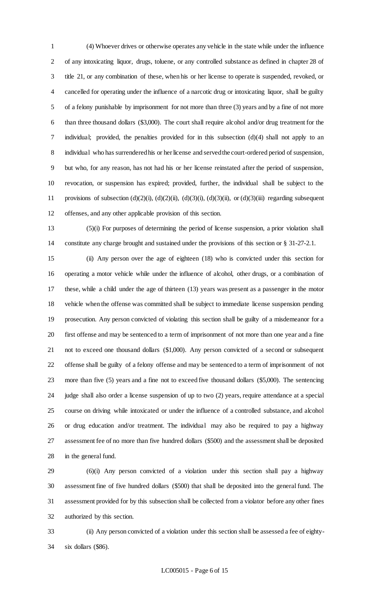(4) Whoever drives or otherwise operates any vehicle in the state while under the influence of any intoxicating liquor, drugs, toluene, or any controlled substance as defined in chapter 28 of title 21, or any combination of these, when his or her license to operate is suspended, revoked, or cancelled for operating under the influence of a narcotic drug or intoxicating liquor, shall be guilty of a felony punishable by imprisonment for not more than three (3) years and by a fine of not more than three thousand dollars (\$3,000). The court shall require alcohol and/or drug treatment for the individual; provided, the penalties provided for in this subsection (d)(4) shall not apply to an individual who has surrendered his or her license and served the court-ordered period of suspension, but who, for any reason, has not had his or her license reinstated after the period of suspension, revocation, or suspension has expired; provided, further, the individual shall be subject to the 11 provisions of subsection  $(d)(2)(i)$ ,  $(d)(2)(ii)$ ,  $(d)(3)(i)$ ,  $(d)(3)(ii)$ , or  $(d)(3)(iii)$  regarding subsequent offenses, and any other applicable provision of this section.

 (5)(i) For purposes of determining the period of license suspension, a prior violation shall constitute any charge brought and sustained under the provisions of this section or § 31-27-2.1.

 (ii) Any person over the age of eighteen (18) who is convicted under this section for operating a motor vehicle while under the influence of alcohol, other drugs, or a combination of these, while a child under the age of thirteen (13) years was present as a passenger in the motor vehicle when the offense was committed shall be subject to immediate license suspension pending prosecution. Any person convicted of violating this section shall be guilty of a misdemeanor for a first offense and may be sentenced to a term of imprisonment of not more than one year and a fine not to exceed one thousand dollars (\$1,000). Any person convicted of a second or subsequent offense shall be guilty of a felony offense and may be sentenced to a term of imprisonment of not more than five (5) years and a fine not to exceed five thousand dollars (\$5,000). The sentencing judge shall also order a license suspension of up to two (2) years, require attendance at a special course on driving while intoxicated or under the influence of a controlled substance, and alcohol or drug education and/or treatment. The individual may also be required to pay a highway assessment fee of no more than five hundred dollars (\$500) and the assessment shall be deposited in the general fund.

 (6)(i) Any person convicted of a violation under this section shall pay a highway assessment fine of five hundred dollars (\$500) that shall be deposited into the general fund. The assessment provided for by this subsection shall be collected from a violator before any other fines authorized by this section.

 (ii) Any person convicted of a violation under this section shall be assessed a fee of eighty-six dollars (\$86).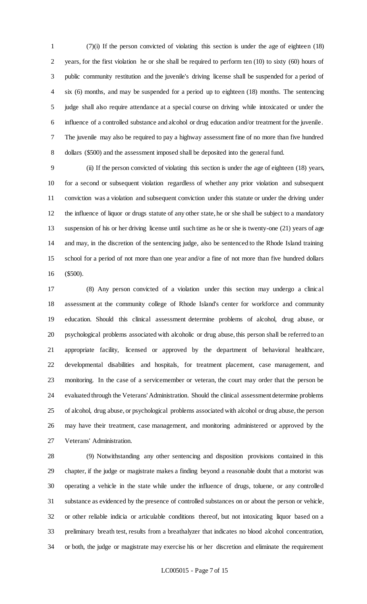(7)(i) If the person convicted of violating this section is under the age of eighteen (18) years, for the first violation he or she shall be required to perform ten (10) to sixty (60) hours of public community restitution and the juvenile's driving license shall be suspended for a period of six (6) months, and may be suspended for a period up to eighteen (18) months. The sentencing judge shall also require attendance at a special course on driving while intoxicated or under the influence of a controlled substance and alcohol or drug education and/or treatment for the juvenile. The juvenile may also be required to pay a highway assessment fine of no more than five hundred dollars (\$500) and the assessment imposed shall be deposited into the general fund.

 (ii) If the person convicted of violating this section is under the age of eighteen (18) years, for a second or subsequent violation regardless of whether any prior violation and subsequent conviction was a violation and subsequent conviction under this statute or under the driving under the influence of liquor or drugs statute of any other state, he or she shall be subject to a mandatory suspension of his or her driving license until such time as he or she is twenty-one (21) years of age and may, in the discretion of the sentencing judge, also be sentenced to the Rhode Island training school for a period of not more than one year and/or a fine of not more than five hundred dollars (\$500).

 (8) Any person convicted of a violation under this section may undergo a clinical assessment at the community college of Rhode Island's center for workforce and community education. Should this clinical assessment determine problems of alcohol, drug abuse, or psychological problems associated with alcoholic or drug abuse, this person shall be referred to an appropriate facility, licensed or approved by the department of behavioral healthcare, developmental disabilities and hospitals, for treatment placement, case management, and monitoring. In the case of a servicemember or veteran, the court may order that the person be evaluated through the Veterans' Administration. Should the clinical assessment determine problems of alcohol, drug abuse, or psychological problems associated with alcohol or drug abuse, the person may have their treatment, case management, and monitoring administered or approved by the Veterans' Administration.

 (9) Notwithstanding any other sentencing and disposition provisions contained in this chapter, if the judge or magistrate makes a finding beyond a reasonable doubt that a motorist was operating a vehicle in the state while under the influence of drugs, toluene, or any controlled substance as evidenced by the presence of controlled substances on or about the person or vehicle, or other reliable indicia or articulable conditions thereof, but not intoxicating liquor based on a preliminary breath test, results from a breathalyzer that indicates no blood alcohol concentration, or both, the judge or magistrate may exercise his or her discretion and eliminate the requirement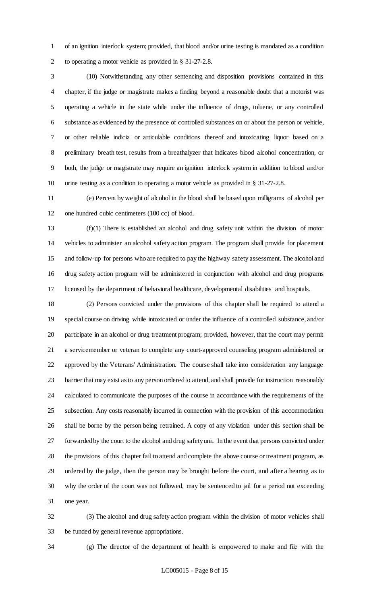of an ignition interlock system; provided, that blood and/or urine testing is mandated as a condition to operating a motor vehicle as provided in § 31-27-2.8.

 (10) Notwithstanding any other sentencing and disposition provisions contained in this chapter, if the judge or magistrate makes a finding beyond a reasonable doubt that a motorist was operating a vehicle in the state while under the influence of drugs, toluene, or any controlled substance as evidenced by the presence of controlled substances on or about the person or vehicle, or other reliable indicia or articulable conditions thereof and intoxicating liquor based on a preliminary breath test, results from a breathalyzer that indicates blood alcohol concentration, or both, the judge or magistrate may require an ignition interlock system in addition to blood and/or urine testing as a condition to operating a motor vehicle as provided in § 31-27-2.8.

 (e) Percent by weight of alcohol in the blood shall be based upon milligrams of alcohol per one hundred cubic centimeters (100 cc) of blood.

 (f)(1) There is established an alcohol and drug safety unit within the division of motor vehicles to administer an alcohol safety action program. The program shall provide for placement and follow-up for persons who are required to pay the highway safety assessment. The alcohol and drug safety action program will be administered in conjunction with alcohol and drug programs licensed by the department of behavioral healthcare, developmental disabilities and hospitals.

 (2) Persons convicted under the provisions of this chapter shall be required to attend a special course on driving while intoxicated or under the influence of a controlled substance, and/or participate in an alcohol or drug treatment program; provided, however, that the court may permit a servicemember or veteran to complete any court-approved counseling program administered or approved by the Veterans' Administration. The course shall take into consideration any language barrier that may exist as to any person ordered to attend, and shall provide for instruction reasonably calculated to communicate the purposes of the course in accordance with the requirements of the subsection. Any costs reasonably incurred in connection with the provision of this accommodation shall be borne by the person being retrained. A copy of any violation under this section shall be forwarded by the court to the alcohol and drug safety unit. In the event that persons convicted under the provisions of this chapter fail to attend and complete the above course or treatment program, as ordered by the judge, then the person may be brought before the court, and after a hearing as to why the order of the court was not followed, may be sentenced to jail for a period not exceeding one year.

 (3) The alcohol and drug safety action program within the division of motor vehicles shall be funded by general revenue appropriations.

(g) The director of the department of health is empowered to make and file with the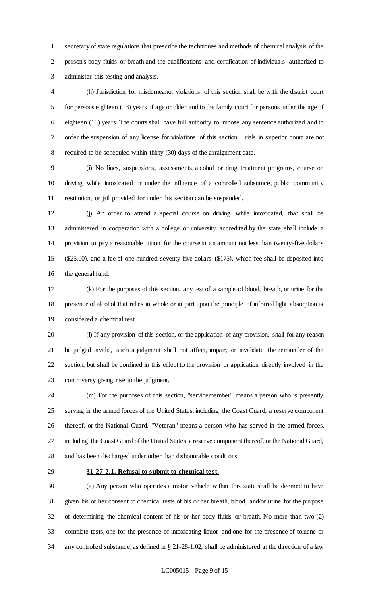secretary of state regulations that prescribe the techniques and methods of chemical analysis of the person's body fluids or breath and the qualifications and certification of individuals authorized to administer this testing and analysis.

 (h) Jurisdiction for misdemeanor violations of this section shall be with the district court for persons eighteen (18) years of age or older and to the family court for persons under the age of eighteen (18) years. The courts shall have full authority to impose any sentence authorized and to order the suspension of any license for violations of this section. Trials in superior court are not required to be scheduled within thirty (30) days of the arraignment date.

 (i) No fines, suspensions, assessments, alcohol or drug treatment programs, course on driving while intoxicated or under the influence of a controlled substance, public community restitution, or jail provided for under this section can be suspended.

 (j) An order to attend a special course on driving while intoxicated, that shall be administered in cooperation with a college or university accredited by the state, shall include a provision to pay a reasonable tuition for the course in an amount not less than twenty-five dollars (\$25.00), and a fee of one hundred seventy-five dollars (\$175), which fee shall be deposited into the general fund.

 (k) For the purposes of this section, any test of a sample of blood, breath, or urine for the presence of alcohol that relies in whole or in part upon the principle of infrared light absorption is considered a chemical test.

 (l) If any provision of this section, or the application of any provision, shall for any reason be judged invalid, such a judgment shall not affect, impair, or invalidate the remainder of the section, but shall be confined in this effect to the provision or application directly involved in the controversy giving rise to the judgment.

 (m) For the purposes of this section, "servicemember" means a person who is presently serving in the armed forces of the United States, including the Coast Guard, a reserve component thereof, or the National Guard. "Veteran" means a person who has served in the armed forces, including the Coast Guard of the United States, a reserve component thereof, or the National Guard, and has been discharged under other than dishonorable conditions.

#### **31-27-2.1. Refusal to submit to chemical test.**

 (a) Any person who operates a motor vehicle within this state shall be deemed to have given his or her consent to chemical tests of his or her breath, blood, and/or urine for the purpose of determining the chemical content of his or her body fluids or breath. No more than two (2) complete tests, one for the presence of intoxicating liquor and one for the presence of toluene or any controlled substance, as defined in § 21-28-1.02, shall be administered at the direction of a law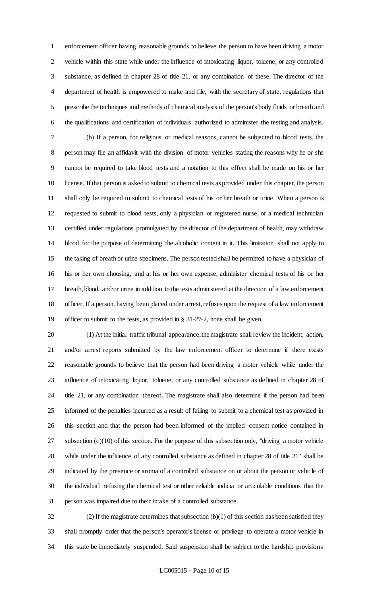enforcement officer having reasonable grounds to believe the person to have been driving a motor vehicle within this state while under the influence of intoxicating liquor, toluene, or any controlled substance, as defined in chapter 28 of title 21, or any combination of these. The director of the department of health is empowered to make and file, with the secretary of state, regulations that prescribe the techniques and methods of chemical analysis of the person's body fluids or breath and the qualifications and certification of individuals authorized to administer the testing and analysis.

 (b) If a person, for religious or medical reasons, cannot be subjected to blood tests, the person may file an affidavit with the division of motor vehicles stating the reasons why he or she cannot be required to take blood tests and a notation to this effect shall be made on his or her license. If that person is asked to submit to chemical tests as provided under this chapter, the person shall only be required to submit to chemical tests of his or her breath or urine. When a person is requested to submit to blood tests, only a physician or registered nurse, or a medical technician certified under regulations promulgated by the director of the department of health, may withdraw blood for the purpose of determining the alcoholic content in it. This limitation shall not apply to the taking of breath or urine specimens. The person tested shall be permitted to have a physician of his or her own choosing, and at his or her own expense, administer chemical tests of his or her breath, blood, and/or urine in addition to the tests administered at the direction of a law enforcement officer. If a person, having been placed under arrest, refuses upon the request of a law enforcement officer to submit to the tests, as provided in § 31-27-2, none shall be given.

 (1) At the initial traffic tribunal appearance, the magistrate shall review the incident, action, and/or arrest reports submitted by the law enforcement officer to determine if there exists reasonable grounds to believe that the person had been driving a motor vehicle while under the influence of intoxicating liquor, toluene, or any controlled substance as defined in chapter 28 of title 21, or any combination thereof. The magistrate shall also determine if the person had been informed of the penalties incurred as a result of failing to submit to a chemical test as provided in this section and that the person had been informed of the implied consent notice contained in subsection (c)(10) of this section. For the purpose of this subsection only, "driving a motor vehicle while under the influence of any controlled substance as defined in chapter 28 of title 21" shall be indicated by the presence or aroma of a controlled substance on or about the person or vehicle of the individual refusing the chemical test or other reliable indicia or articulable conditions that the person was impaired due to their intake of a controlled substance.

32 (2) If the magistrate determines that subsection  $(b)(1)$  of this section has been satisfied they shall promptly order that the person's operator's license or privilege to operate a motor vehicle in this state be immediately suspended. Said suspension shall be subject to the hardship provisions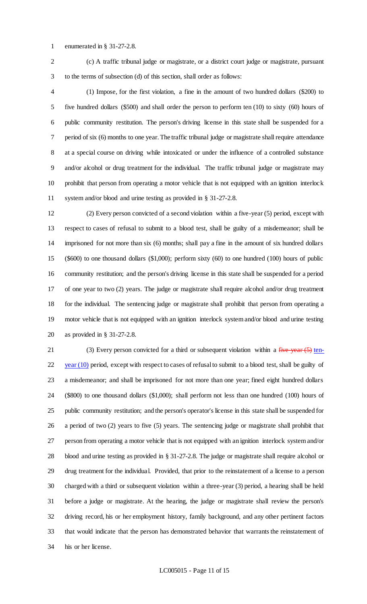enumerated in § 31-27-2.8.

 (c) A traffic tribunal judge or magistrate, or a district court judge or magistrate, pursuant to the terms of subsection (d) of this section, shall order as follows:

 (1) Impose, for the first violation, a fine in the amount of two hundred dollars (\$200) to five hundred dollars (\$500) and shall order the person to perform ten (10) to sixty (60) hours of public community restitution. The person's driving license in this state shall be suspended for a period of six (6) months to one year. The traffic tribunal judge or magistrate shall require attendance at a special course on driving while intoxicated or under the influence of a controlled substance and/or alcohol or drug treatment for the individual. The traffic tribunal judge or magistrate may prohibit that person from operating a motor vehicle that is not equipped with an ignition interlock system and/or blood and urine testing as provided in § 31-27-2.8.

 (2) Every person convicted of a second violation within a five-year (5) period, except with respect to cases of refusal to submit to a blood test, shall be guilty of a misdemeanor; shall be imprisoned for not more than six (6) months; shall pay a fine in the amount of six hundred dollars (\$600) to one thousand dollars (\$1,000); perform sixty (60) to one hundred (100) hours of public community restitution; and the person's driving license in this state shall be suspended for a period of one year to two (2) years. The judge or magistrate shall require alcohol and/or drug treatment for the individual. The sentencing judge or magistrate shall prohibit that person from operating a motor vehicle that is not equipped with an ignition interlock system and/or blood and urine testing as provided in § 31-27-2.8.

21 (3) Every person convicted for a third or subsequent violation within a five-year (5) ten- year (10) period, except with respect to cases of refusal to submit to a blood test, shall be guilty of a misdemeanor; and shall be imprisoned for not more than one year; fined eight hundred dollars (\$800) to one thousand dollars (\$1,000); shall perform not less than one hundred (100) hours of public community restitution; and the person's operator's license in this state shall be suspended for a period of two (2) years to five (5) years. The sentencing judge or magistrate shall prohibit that person from operating a motor vehicle that is not equipped with an ignition interlock system and/or blood and urine testing as provided in § 31-27-2.8. The judge or magistrate shall require alcohol or drug treatment for the individual. Provided, that prior to the reinstatement of a license to a person charged with a third or subsequent violation within a three-year (3) period, a hearing shall be held before a judge or magistrate. At the hearing, the judge or magistrate shall review the person's driving record, his or her employment history, family background, and any other pertinent factors that would indicate that the person has demonstrated behavior that warrants the reinstatement of his or her license.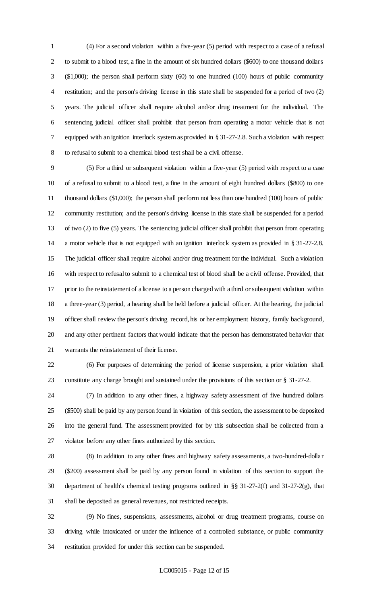(4) For a second violation within a five-year (5) period with respect to a case of a refusal to submit to a blood test, a fine in the amount of six hundred dollars (\$600) to one thousand dollars (\$1,000); the person shall perform sixty (60) to one hundred (100) hours of public community restitution; and the person's driving license in this state shall be suspended for a period of two (2) years. The judicial officer shall require alcohol and/or drug treatment for the individual. The sentencing judicial officer shall prohibit that person from operating a motor vehicle that is not equipped with an ignition interlock system as provided in § 31-27-2.8. Such a violation with respect to refusal to submit to a chemical blood test shall be a civil offense.

 (5) For a third or subsequent violation within a five-year (5) period with respect to a case of a refusal to submit to a blood test, a fine in the amount of eight hundred dollars (\$800) to one thousand dollars (\$1,000); the person shall perform not less than one hundred (100) hours of public community restitution; and the person's driving license in this state shall be suspended for a period of two (2) to five (5) years. The sentencing judicial officer shall prohibit that person from operating a motor vehicle that is not equipped with an ignition interlock system as provided in § 31-27-2.8. The judicial officer shall require alcohol and/or drug treatment for the individual. Such a violation with respect to refusal to submit to a chemical test of blood shall be a civil offense. Provided, that prior to the reinstatement of a license to a person charged with a third or subsequent violation within a three-year (3) period, a hearing shall be held before a judicial officer. At the hearing, the judicial officer shall review the person's driving record, his or her employment history, family background, and any other pertinent factors that would indicate that the person has demonstrated behavior that warrants the reinstatement of their license.

 (6) For purposes of determining the period of license suspension, a prior violation shall constitute any charge brought and sustained under the provisions of this section or § 31-27-2.

 (7) In addition to any other fines, a highway safety assessment of five hundred dollars (\$500) shall be paid by any person found in violation of this section, the assessment to be deposited into the general fund. The assessment provided for by this subsection shall be collected from a violator before any other fines authorized by this section.

 (8) In addition to any other fines and highway safety assessments, a two-hundred-dollar (\$200) assessment shall be paid by any person found in violation of this section to support the department of health's chemical testing programs outlined in §§ 31-27-2(f) and 31-27-2(g), that shall be deposited as general revenues, not restricted receipts.

 (9) No fines, suspensions, assessments, alcohol or drug treatment programs, course on driving while intoxicated or under the influence of a controlled substance, or public community restitution provided for under this section can be suspended.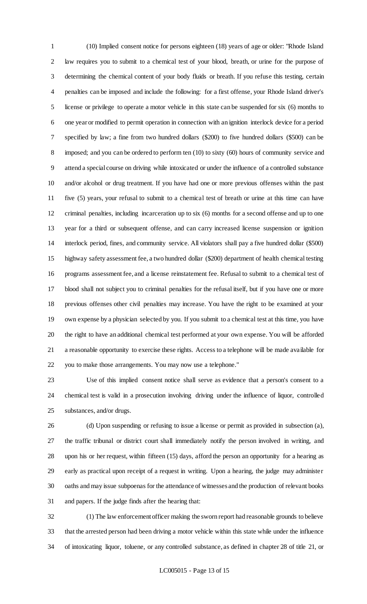(10) Implied consent notice for persons eighteen (18) years of age or older: "Rhode Island law requires you to submit to a chemical test of your blood, breath, or urine for the purpose of determining the chemical content of your body fluids or breath. If you refuse this testing, certain penalties can be imposed and include the following: for a first offense, your Rhode Island driver's license or privilege to operate a motor vehicle in this state can be suspended for six (6) months to one year or modified to permit operation in connection with an ignition interlock device for a period specified by law; a fine from two hundred dollars (\$200) to five hundred dollars (\$500) can be 8 imposed; and you can be ordered to perform ten (10) to sixty (60) hours of community service and attend a special course on driving while intoxicated or under the influence of a controlled substance and/or alcohol or drug treatment. If you have had one or more previous offenses within the past five (5) years, your refusal to submit to a chemical test of breath or urine at this time can have criminal penalties, including incarceration up to six (6) months for a second offense and up to one year for a third or subsequent offense, and can carry increased license suspension or ignition interlock period, fines, and community service. All violators shall pay a five hundred dollar (\$500) highway safety assessment fee, a two hundred dollar (\$200) department of health chemical testing programs assessment fee, and a license reinstatement fee. Refusal to submit to a chemical test of blood shall not subject you to criminal penalties for the refusal itself, but if you have one or more previous offenses other civil penalties may increase. You have the right to be examined at your own expense by a physician selected by you. If you submit to a chemical test at this time, you have the right to have an additional chemical test performed at your own expense. You will be afforded a reasonable opportunity to exercise these rights. Access to a telephone will be made available for you to make those arrangements. You may now use a telephone."

 Use of this implied consent notice shall serve as evidence that a person's consent to a chemical test is valid in a prosecution involving driving under the influence of liquor, controlled substances, and/or drugs.

 (d) Upon suspending or refusing to issue a license or permit as provided in subsection (a), the traffic tribunal or district court shall immediately notify the person involved in writing, and upon his or her request, within fifteen (15) days, afford the person an opportunity for a hearing as early as practical upon receipt of a request in writing. Upon a hearing, the judge may administer oaths and may issue subpoenas for the attendance of witnesses and the production of relevant books and papers. If the judge finds after the hearing that:

 (1) The law enforcement officer making the sworn report had reasonable grounds to believe that the arrested person had been driving a motor vehicle within this state while under the influence of intoxicating liquor, toluene, or any controlled substance, as defined in chapter 28 of title 21, or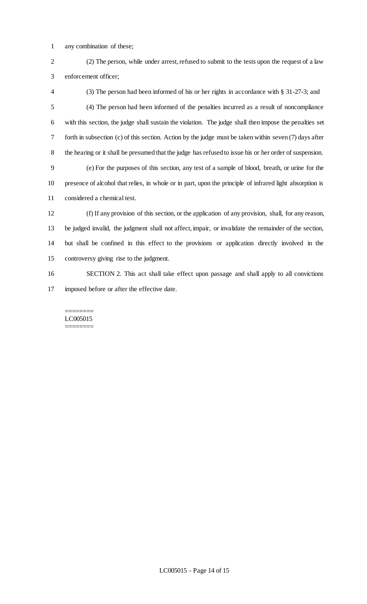- any combination of these;
- (2) The person, while under arrest, refused to submit to the tests upon the request of a law enforcement officer;
- (3) The person had been informed of his or her rights in accordance with § 31-27-3; and (4) The person had been informed of the penalties incurred as a result of noncompliance with this section, the judge shall sustain the violation. The judge shall then impose the penalties set forth in subsection (c) of this section. Action by the judge must be taken within seven (7) days after the hearing or it shall be presumed that the judge has refused to issue his or her order of suspension. (e) For the purposes of this section, any test of a sample of blood, breath, or urine for the
- presence of alcohol that relies, in whole or in part, upon the principle of infrared light absorption is considered a chemical test.
- (f) If any provision of this section, or the application of any provision, shall, for any reason, be judged invalid, the judgment shall not affect, impair, or invalidate the remainder of the section, but shall be confined in this effect to the provisions or application directly involved in the controversy giving rise to the judgment.
- SECTION 2. This act shall take effect upon passage and shall apply to all convictions imposed before or after the effective date.

#### ======== LC005015 ========